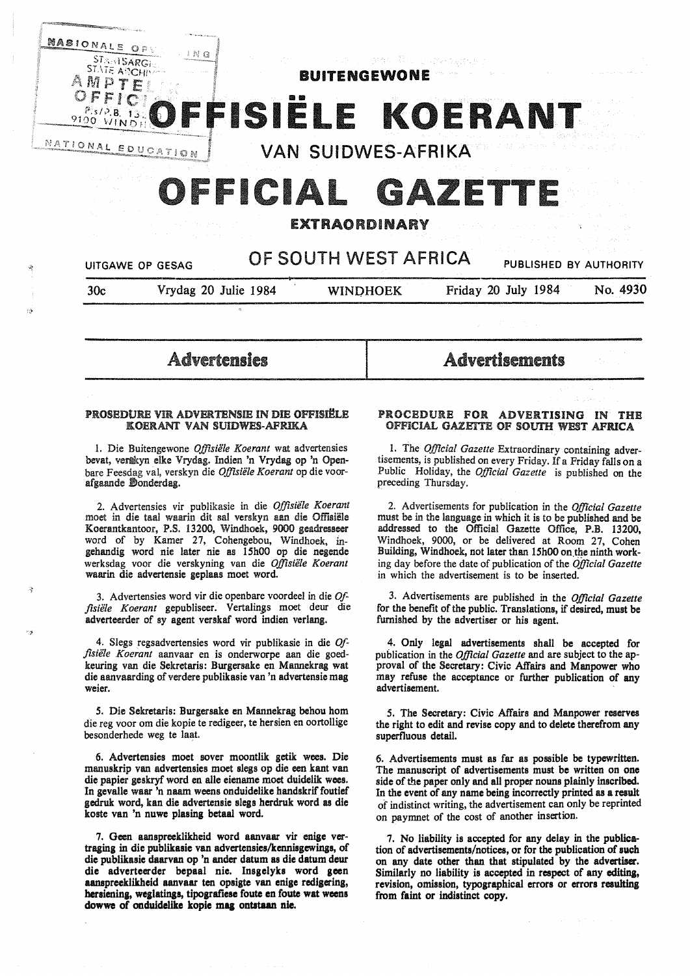

# OFFICIAL GAZET

#### EXTRAORDINARY

### UITGAWE OP GESAG **OF SOUTH WEST AFRICA** PUBLISHED BY AUTHORITY

"j

">

30c Vrydag 20 Julie 1984 WINPHOEK Friday 20 July 1984 No. 4930

#### Advertensles

#### PROSEDURE VIR ADVERTENSIE IN DIE OFFISIËLE KOERANT VAN SUIDWES-AFRIKA

1. Die Buitengewone *Offisie1e Koerant* wat advertensies bevat, vertkyn elke Vrydag. Indien 'n Vrydag op 'n Openbare Feesdag val, verskyn die *Offisiele Koerant* op die voorafgaande Donderdag.

2. Advertensies vir publikasie in die *Offisiele Koerant*  moet in die taal waarin dit sal verskyn aan die Offisiële Koerantkantoor, P.S. 13200, Windhoek, 9000 geadresseer word of by Kamer 27, Cohengebou, Windhoek, ingehandig word nie later nie as 15h00 op die negende werksdag voor die verskyning van die *Offisiele Koerant*  waarin die advertensie geplaas moet word.

3. Advertensies word vir die openbare voordeel in die *Offisie1e Koerant* gepubliseer. Vertalin\_gs moet deur die adverteerder of sy agent verskaf word indien verlang.

4. Slegs regsadvertensies word vir publikasie in die *Offisiele Koerant* aanvaar en is onderworpe aan die goedkeuring van die Sekretaris: Burgersake en Mannekrag wat die aanvaarding of verdere publikasie van 'n advertensie mag weier.

*5.* Die Sekretaris: Burgersake en Mannekrag behou horn die reg voor om die kopie te redigeer, te hersien en oortollige besonderhede weg te laat.

6. Advertensies moet sover moontlik getik wees. Die manuskrip van advertensies moet slegs op die een kant van die papier geskryf word en alle eiename moet duidellk wees. In gevalle waar 'n naam weens onduidelike handskrif foutief gedruk word, kan die advertensie slegs herdruk word as die koste van 'n nuwe plasing betaa1 word.

7. Geen aanspreeklikheid word aanvaar vir enige vertraging in die publlkasie van advertensies/kennisgewinss, of die publikasie daarvan op 'n ander datum as die datum deur **die adverteerder bepaal nie. Insgelyks word geen aanspreeklikheid aanvaar ten opsigte van enige redigerins,**  hersiening, weglatings, tipografiese foute en foute wat weens **dowwe of onduidelike kopie maa ontatun nie.** 

## Advertisements

#### PROCEDURE FOR ADVERTISING IN THE OFFICIAL GAZETTE OF SOUTH WEST AFRICA

I. The *Official Gazette* Extraordinary containing advertisements, is published on every Friday. If a Friday falls on a Public Holiday, the *Official Gazette* is published on the preceding Thursday.

2. Advertisements for publication in the *Official Gazette*  must be in the language in which it is to be published and be addressed to the Official Gazette Office, P.B. 13200, Windhoek, 9000, or be delivered at Room 27, Cohen Building, Windhoek, not later than 15h00 on the ninth working day before the date of publication of the *Official Gazette*  in which the advertisement is to be inserted.

3. Advertisements are published in the *Official Gazette*  for the benefit of the public. Translations, if desired, must be furnished by the advertiser or his agent.

4. Only legal advertisements shall be accepted for publication in the *Official Gazette* and are subject to the approval of the Secretary: Civic Affairs and Manpower who may refuse the acceptance or further publication of any advertisement.

*5.* The Secretary: Civic Affairs and Manpower reserves the right to edit and revise copy and to delete therefrom any superfluous detail.

6. Advertisements must as far as possible be typewritten. The manuscript of advertisements must be written on one side of the paper only and all proper nouns plainly inscribed. In the event of any name being incorrectly printed as a result of indistinct writing, the advertisement can only be reprinted on paymnet of the cost of another insertion.

7. No liability is accepted for any delay in the publication of advertisements/notices, or for the publication of such on any date other than that stipulated by the advertiser. Similarly no liability is accepted in respect of any editing, revision, omission, typographical errors or errors resulting from faint or indistinct copy.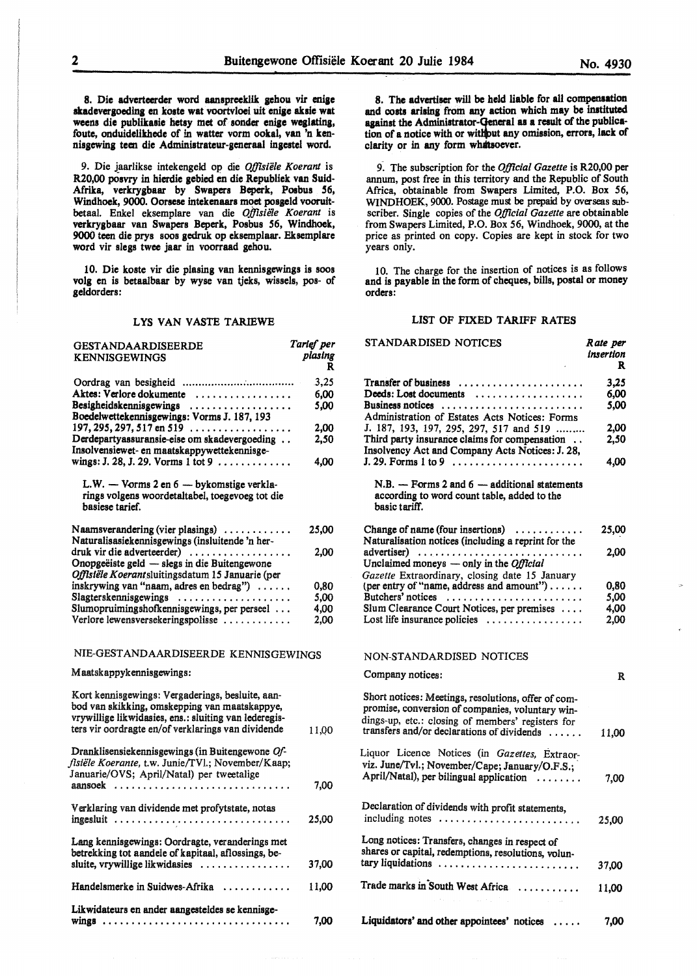8. Die adverteerder word aanspreeklik gehou vir enige akadevergoeding en koste wat voortvloei uit enige aksie wat weens die publikasie hetsy met of sonder **eniae wesJating,**  foute, onduidelikhede of in watter vorm ookal, van 'n kennisgewing teen die Administrateur-generaal ingestel word.

9. Die jaarlikse intekengeld op die *Offisiële Koerant* is R20,00 posvry in hierdie aebied en die Republiek van Suid-Afrika, verkrygbaar by Swapers Beperk, Posbus 56, Windhoek, 9000. Oorsese intekenaars moet posgeld vooruitbetaal. Enke! eksemplare van die *Offisie1e Koerant* is verkrygbaar van Swapers Beperk, Posbus *56,* Windhoek, 9000 teen die prys soos gedruk op eksemplaar. Eksemplare word vir **siege** twee jaar in voorraad gehou.

10. Die koste vir die plasing van kennisgewings is soos volg en is betaalbaar by wyse van tjeks, wissels, pos- of geldorders:

#### LYS VAN VASTE TARIEWE

| GESTANDAARDISEERDE<br><b>KENNISGEWINGS</b>                                                                                                                                                                       | Tarief per<br>plasing<br>R |
|------------------------------------------------------------------------------------------------------------------------------------------------------------------------------------------------------------------|----------------------------|
|                                                                                                                                                                                                                  | 3,25                       |
| Aktes: Verlore dokumente                                                                                                                                                                                         | 6,00                       |
| Besigheidskennisgewings<br>Boedelwettekennisgewings: Vorms J. 187, 193                                                                                                                                           | 5.00                       |
| $197, 295, 297, 517$ en $519$                                                                                                                                                                                    | 2,00                       |
| Derdepartyassuransie-eise om skadevergoeding<br>Insolvensiewet- en maatskappywettekennisge-                                                                                                                      | 2,50                       |
| wings: J. 28, J. 29. Vorms 1 tot 9                                                                                                                                                                               | 4,00                       |
| L.W. - Vorms 2 en 6 - bykomstige verkla-<br>rings volgens woordetaltabel, toegevoeg tot die<br>basiese tarief.                                                                                                   |                            |
| Naamsverandering (vier plasings)<br>Naturalisasiekennisgewings (insluitende 'n her-                                                                                                                              | 25,00                      |
| druk vir die adverteerder)                                                                                                                                                                                       | 2.00                       |
| Onopgeëiste geld - slegs in die Buitengewone<br>Offlstële Koerantsluitingsdatum 15 Januarie (per                                                                                                                 |                            |
| inskrywing van "naam, adres en bedrag")                                                                                                                                                                          | 0,80                       |
| Slagterskennisgewings                                                                                                                                                                                            | 5,00                       |
| Slumopruimingshofkennisgewings, per perseel                                                                                                                                                                      | 4,00                       |
| Verlore lewensversekeringspolisse                                                                                                                                                                                | 2,00                       |
| NIE-GESTANDAARDISEERDE KENNISGEWINGS                                                                                                                                                                             |                            |
| Maatskappykennisgewings:                                                                                                                                                                                         |                            |
| Kort kennisgewings: Vergaderings, besluite, aan-<br>bod van skikking, omskepping van maatskappye,<br>vrywillige likwidasies, ens.: sluiting van lederegis-<br>ters vir oordragte en/of verklarings van dividende | 11,00                      |
| Dranklisensiekennisgewings (in Buitengewone Of-<br>fisiële Koerante, t.w. Junie/TVl.; November/Kaap;<br>Januarie/OVS; April/Natal) per tweetalige                                                                |                            |
|                                                                                                                                                                                                                  | 7,00                       |
| Verklaring van dividende met profytstate, notas                                                                                                                                                                  | 25,00                      |
| Lang kennisgewings: Oordragte, veranderings met<br>betrekking tot aandele of kapitaal, aflossings, be-                                                                                                           |                            |
| sluite, vrywillige likwidasies                                                                                                                                                                                   | 37,00                      |
| Handelsmerke in Suidwes-Afrika                                                                                                                                                                                   | 11.00                      |
| Likwidateurs en ander aangesteldes se kennisge-<br>wings                                                                                                                                                         | 7.00                       |

8. The advertiser will be held liable for all compensation and costs arising from any action which may be instituted apinst the Adminiatrator-Qeneral **as a** result of the publication of a notice with or without any omission, errors, lack of clarity or in any form **whaltaoever.** 

9. The subscription for the *Official Gazette* is R20,00 per annum, post free in this territory and the Republic of South Africa, obtainable from Swapers Limited, P.O. Box *56,*  WINDHOEK, 9000. Postage must be prepaid by overseas subscriber. Single copies of the *Official Gazette* are obtainable from Swapers Limited, P.O. Box 56, Windhoek, 9000, at the price as printed on copy. Copies are kept in stock for two years only.

1 O. The charge for the insertion of notices is as follows and is payable in the form of cheques, bills, postal or money orders:

#### LIST OF FIXED TARIFF RATES

| <b>STANDARDISED NOTICES</b>                                                                                                                                                                                | Rate per<br>insertion<br>R |
|------------------------------------------------------------------------------------------------------------------------------------------------------------------------------------------------------------|----------------------------|
| Transfer of business                                                                                                                                                                                       | 3.25                       |
| Deeds: Lost documents                                                                                                                                                                                      | 6,00                       |
| Business notices                                                                                                                                                                                           | 5,00                       |
| Administration of Estates Acts Notices: Forms                                                                                                                                                              |                            |
| J. 187, 193, 197, 295, 297, 517 and 519                                                                                                                                                                    | 2.00                       |
| Third party insurance claims for compensation<br>Insolvency Act and Company Acts Notices: J. 28,                                                                                                           | 2,50                       |
|                                                                                                                                                                                                            | 4,00                       |
| $N.B. - Forms 2 and 6 - additional statements$<br>according to word count table, added to the<br>basic tariff.                                                                                             |                            |
| Change of name (four insertions) $\dots\dots\dots$                                                                                                                                                         | 25,00                      |
| Naturalisation notices (including a reprint for the                                                                                                                                                        |                            |
| advertiser)                                                                                                                                                                                                | 2,00                       |
| Unclaimed moneys $-$ only in the <i>Official</i>                                                                                                                                                           |                            |
| Gazette Extraordinary, closing date 15 January                                                                                                                                                             |                            |
| (per entry of "name, address and amount")                                                                                                                                                                  | 0,80                       |
| Butchers' notices                                                                                                                                                                                          | 5,00                       |
| Slum Clearance Court Notices, per premises<br>Lost life insurance policies                                                                                                                                 | 4,00<br>2.00               |
|                                                                                                                                                                                                            |                            |
| NON-STANDARDISED NOTICES                                                                                                                                                                                   |                            |
| Company notices:                                                                                                                                                                                           | R                          |
| Short notices: Meetings, resolutions, offer of com-<br>promise, conversion of companies, voluntary win-<br>dings-up, etc.: closing of members' registers for<br>transfers and/or declarations of dividends | 11,00                      |
| Liquor Licence Notices (in Gazettes, Extraor-                                                                                                                                                              |                            |
| viz. June/Tvl.; November/Cape; January/O.F.S.;                                                                                                                                                             |                            |
| April/Natal), per bilingual application                                                                                                                                                                    | 7,00                       |
| Declaration of dividends with profit statements,<br>including notes                                                                                                                                        | 25,00                      |
| Long notices: Transfers, changes in respect of                                                                                                                                                             |                            |
| shares or capital, redemptions, resolutions, volun-<br>tary liquidations                                                                                                                                   |                            |
|                                                                                                                                                                                                            | 37,00                      |
| Trade marks in South West Africa                                                                                                                                                                           | 11,00                      |
| Liquidators' and other appointees' notices                                                                                                                                                                 | 7,00                       |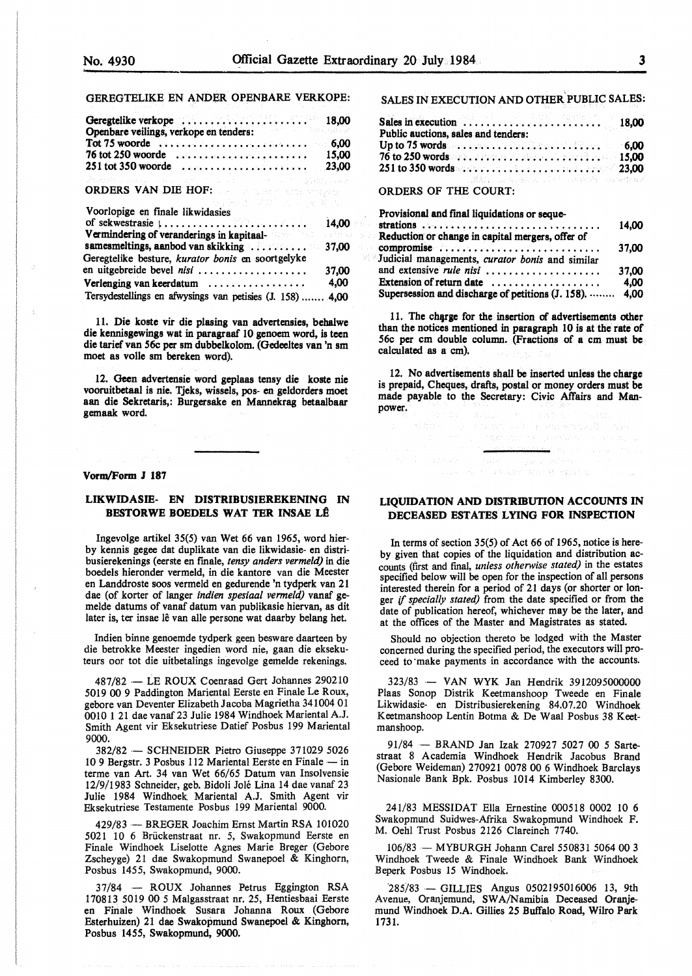#### GEREGTELIKE EN ANDER OPENBARE VERKOPE:

| Openbare veilings, verkope en tenders:<br>Tot 75 woorde $\ldots \ldots \ldots \ldots \ldots \ldots \ldots \ldots \ldots$ 6,00 |                |
|-------------------------------------------------------------------------------------------------------------------------------|----------------|
| 76 tot 250 woorde                                                                                                             | 15.00<br>23.00 |

### ORDERS VAN DIE HOF:

| Voorlopige en finale likwidasies                                                  |       |
|-----------------------------------------------------------------------------------|-------|
| of sekwestrasie $1, \ldots, \ldots, \ldots, \ldots, \ldots, \ldots, \ldots$ 14,00 |       |
| Vermindering of veranderings in kapitaal- and an analysis of the                  |       |
|                                                                                   |       |
| Geregtelike besture, kurator bonis en soortgelyke                                 |       |
| en uitgebreide bevel nisi                                                         | 37,00 |
| Verlenging van keerdatum                                                          | 4,00  |
| Tersydestellings en afwysings van petisies (J. 158)  4,00                         |       |

11. Die koste vir die plasing van advertensies, behalwe die kennisgewings wat in paragraaf 10 genoem word, is teen die tarief van 56c per sm dubbelkolom. (Gedeeltes van 'n sm moet as voile sm bereken word).

12. Geen advertensie word geplaas tensy die koste nie vooruitbetaal is nie. Tjeks, wissels, pos- en geldorders moet aan die Sekretaris,: Burgersake en Mannekrag betaalbaar gemaak word

#### **Vorm/Form J 187**

#### **LIKWIDASIE- EN DISTRIBUSIEREKENlNG** IN **BESTORWE BOEDELS WAT TER INSAE L@**

lngevolge artikel 35(5) van Wet 66 van 1965, word bierby kennis gegee dat duplikate van die likwidasie- en distribusierekenings (eerste en fmale, *tensy anders vermeld)* in die boedels hieronder vermeld, in die kantore van die Meester en Landdroste soos vermeld en gedurende 'n tydperk van 21 dae (of korter of langer *indien spesiaal vermeld)* vanaf gemelde datums of vanaf datum van publikasie hiervan, as dit later is, ter insae lê van alle persone wat daarby belang het.

Indien binne genoemde tydperk geen besware daarteen by die betrokke Meester ingedien word nie, gaan die eksekuteurs oor tot die uitbetalings ingevolge gemelde rekenings.

487/82 - LE ROUX Coenraad Gert Johannes 290210 5019 00 9 Paddington Mariental Eerste en Finale Le Roux, gebore van Deventer Elizabeth Jacoba Magrietha 341004 01 0010 1 21 dae vanaf 23 Julie 1984 Windhoek Mariental A.J. Smith Agent vir Eksekutriese Datief Posbus 199 Mariental 9000.

382/82 - SCHNEIDER Pietro Giuseppe 371029 5026 10 9 Bergstr. 3 Posbus 112 Mariental Eerste en Finale - in terme van Art. 34 van Wet 66/65 Datum van Insolvensie 12/9/1983 Schneider, geb. Bidoli Joie Lina 14 dae vanaf 23 Julie 1984 Windhoek Mariental A.J. Smith Agent vir Eksekutriese Testamente Posbus 199 Mariental 9000.

429/83 - BREGER Joachim Ernst Martin RSA 101020 5021 IO 6 Briickenstraat nr. 5, Swakopmund Eerste en Finale Windhoek Liselotte Agnes Marie Breger (Gebore Zscheyge) 21 dae Swakopmund Swanepoel & Kinghorn, Posbus 1455, Swakopmund, 9000.

37/84 - ROUX Johannes Petrus Eggington RSA 170813 5019 00 5 Malgasstraat nr. 25, Hentiesbaai Eerste en Finale Windhoek Susara Johanna Roux (Gebore Esterhuizen) 21 dae Swakopmund Swanepoel & Kinghorn, Posbus 1455, Swakopmund, 9000.

#### SALES IN EXECUTION AND OTHER. PUBLIC SALES:

| Sales in execution $\ldots \ldots \ldots \ldots \ldots \ldots \ldots$ 18,00           |  |  |                                                                                                      |
|---------------------------------------------------------------------------------------|--|--|------------------------------------------------------------------------------------------------------|
| Public auctions, sales and tenders:                                                   |  |  |                                                                                                      |
| Up to 75 words $\ldots$ . $\ldots$ . $\ldots$ . $\ldots$ . $\ldots$ . $\ldots$ . 6,00 |  |  |                                                                                                      |
| 76 to 250 words $x_1, x_2, x_3, x_4, x_5, x_6, x_7, x_8, x_9, x_1, x_2, x_3, x_4$     |  |  |                                                                                                      |
| $251$ to $350$ words we are considered as a constraint of $23,00^{\circ}$             |  |  |                                                                                                      |
|                                                                                       |  |  | - 1. 放荡器 - 1. Japan Alexandre - 1. March - 1. March - 1. March - 1. March - 1. March - 1. March - 1. |

#### ORDERS OF THE COURT:

| Provisional and final liquidations or seque-                                        |       |
|-------------------------------------------------------------------------------------|-------|
| Guian.                                                                              | 14,00 |
| Reduction or change in capital mergers, offer of                                    |       |
| $\blacksquare$ compromise $\ldots \ldots \ldots \ldots \ldots \ldots \ldots \ldots$ | 37.00 |
| Judicial managements, curator bonis and similar                                     |       |
| and extensive <i>rule nisi</i>                                                      | 37,00 |
| Extension of return date                                                            | 4.00  |
| Supersession and discharge of petitions (J. 158).  4,00                             |       |

11. The charge for the insertion of advertisements other than the notices mentioned in paragraph 10 is at the rate of 56c per cm double column. (Fractions of a cm must be calculated as a cm).

12. No advertisements shall be inserted unless the charge is prepaid, Cheques, drafts, postal or money orders must be made payable to the Secretary: Civic Affairs and Manpower.

(中国中国) 法一个保险人 医真正的 医淋巴病毒 计分析

#### **LIQUIDATION AND DISTRIBUTION ACCOUNTS IN DECEASED ESTATES LYING FOR INSPECTION**

In terms of section 35(5) of Act 66 of 1965, notice is hereby given that copies of the liquidation and distribution accounts (first and final, *unless otherwise stated)* in the estates specified below will be open for the inspection of all persons interested therein for a period of 21 days (or shorter or longer *if specially stated)* from the date specified or from the date of publication hereof, whichever may be the later, and at the offices of the Master and Magistrates as stated.

Should no objection thereto be lodged with the Master concerned during the specified period, the executors will proceed to make payments in accordance with the accounts.

323/83 - VAN WYK Jan Hendrik 3912095000000 Plaas Sonop Distrik Keetmanshoop Tweede en Finale Likwidasie- en Distribusierekening 84.07.20 Windhoek Keetmanshoop Lentin Botma & De Waal Posbus 38 **Keet**manshoop.

91/84 - BRAND Jan Izak 270927 5027 00 5 **Sarte**straat 8 Academia Windhoek Hendrik Jacobus Brand (Gebore Weideman) 270921 0078 00 6 Windhoek Barclays Nasionale Bank Bpk. Posbus 1014 Kimberley 8300.

241/83 MESSIDAT Ella Ernestine 000518 0002 10 6 Swakopmund Suidwes-Afrika Swakopmund Windhoek F. M. Oehl Trust Posbus 2126 Clareinch 7740.

106/83 - MYBURGH Johann Carel 550831 5064 00 3 Windhoek Tweede & Finale Windhoek Bank Windhoek Beperk Posbus 15 Windhoek.

 $285/83$  - GILLIES Angus 0502195016006 13, 9th Avenue, Oranjemund, SWA/Namibia Deceased Oranjemund Windhoek D.A. Gillies 25 Buffalo Road, Wilro Park 1731.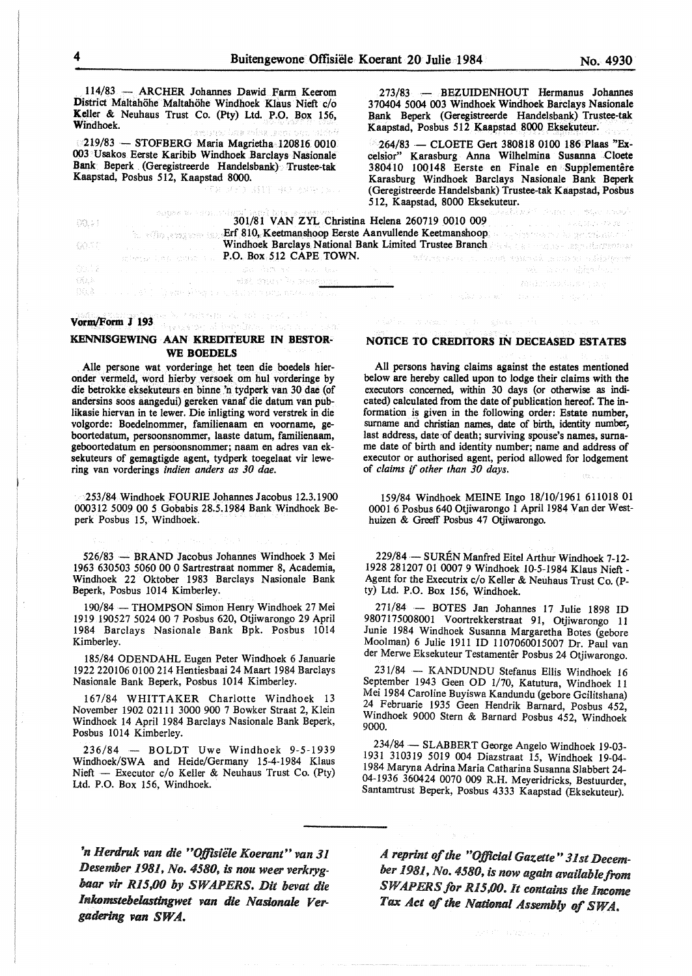114/83 - ARCHER Johannes Dawid Farm Keerom District Maltahohe Maltahohe Windhoek Klaus Nieft c/o Keller & Neuhaus Trust Co. (Pty) Ltd. P.O. Box 156, Windhoek.

219/83 - STOFBERG Maria Magrietha 120816. 0010 003 Usakos Eerste Karibib Windhoek Barclays Nasionale Bank Beperk (Geregistreerde Handelsbank) Trustee-tak Kaapstad, Posbus 512, Kaapstad 8000. 30 BIT 40 88908

273/83 - BEZUIDENHOUT Hermanus Johannes 370404 5004 003 Windhoek Windhoek Barclays Nasionale Bank Beperk (Geregistreerde Handelsbank) Trustee-tak Kaapstad, Posbus 512 Kaapstad 8000 Eksekuteur.

264/83 - CLOETE Gert 380818 0100 186 Plaas "Excelsior" Karasburg Anna Wilhelmina Susanna Cloete 380410 100148 Eerste en Finale en Supplementêre Karasburg Windhoek Barclays Nasionale Bank Beperk (Geregistreerde Handelsbank) Trustee-tak Kaapstad, Posbus 512, Kaapstad, 8000 Eksekuteur.

| -89.21  | 그 학교 정부와 석사 중 시간이 없었다. 그는 소리에 대상 이 마을은 이미를 만들고 있다. 이 사람은 이 집 정도 있었다.<br>and the state of the state of the            | アート・コント ぜんしょう おしだい ハース ひっぱいしょう エー・コース みずき いちい おんかえいしゃ<br>301/81 VAN ZYL Christina Helena 260719 0010 009<br>the still assessment 210, Keetmanshoop Eerste Aanvullende Keetmanshoop, a subjection of the settlement of          |
|---------|----------------------------------------------------------------------------------------------------------------------|--------------------------------------------------------------------------------------------------------------------------------------------------------------------------------------------------------------------------------|
| - 북의 계기 | <b>Exchange Links Contract L. P.O. Box 512 CAPE TOWN.</b>                                                            | <b>Windhoek Barclays National Bank Limited Trustee Branch Angle Communication Communication Communication</b><br>- Waren dan kecamatan dan bertama dan sebagai dan sebagai dalam dalam dalam dan dalam dan sebagai dan sebagai |
| PGS 197 | ,这是一个人的人,我们的人,我们都不 <b>能做到这么多么?我</b> 是一个人的人,我们的人,我们的人,我们的人,我们的人都不能 <del>会</del> 。"                                    |                                                                                                                                                                                                                                |
| - 後気に - | on the control of the control of the second control of the control of the control of the control of the control of t |                                                                                                                                                                                                                                |
|         | - OO.8 - ファインテンジ (1) early integral substant as on a stock between Juli                                              | 1000 A. 이 그는 그 사람들은 아이들이 아니라 그 사람들은 아이들이 아니라 아니라 그 사람들은 아이들이 아니라 그 사람들이 아니라 그 사람들이 아니라 그 사람들이 아니라 그 사람들이 아니라 그                                                                                                                 |

#### e Artan an Arab Septemb Vorm/Form J 193

#### **KENNISGEWING AAN KREDITEURE IN BESTOR-WE BOEDELS**

Alie persone wat vorderinge. bet teen die boedels hieronder vermeld, word hierby versoek om hul vorderinge by die betrokke eksekuteurs en binne 'n tydperk van 30 dae (of andersins soos aangedui) gereken vanaf die datum van publikasie hiervan in te Iewer. Die inligting word verstrek in die volgorde: Boedelnommer, familienaam en voorname, geboortedatum, persoonsnommer, laaste datum, familienaam, geboortedatum en persoonsnommer; naam en adres van eksekuteurs of gemagtigde agent, tydperk toegelaat vir lewering van vorderings *indien anders as 30 dae.* 

253/84 Windhoek FOURIE Johannes Jacobus 12.3.1900 000312 5009 00 *5* Gobabis 28.5.1984 Bank Windhoek Beperk Posbus 15, Windhoek.

526/83 - BRAND Jacobus Johannes Windhoek 3 Mei 1963 630503 5060 00 0 Sartrestraat nommer 8, Academia, Windhoek 22 Oktober 1983 Barclays Nasionale Bank Beperk, Posbus 1014 Kimberley.

190/84 - THOMPSON Simon Henry Windhoek 27 Mei 1919 190527 5024 00 7 Posbus 620, Otjiwarongo 29 April 1984 Barclays Nasionale Bank Bpk. Posbus 1014 Kimberley.

185/84 ODENDAHL Eugen Peter Windhoek 6 Januarie 1922 220106 0100 214 Hentiesbaai 24 Maart 1984 Barclays Nasionale Bank Beperk, Posbus 1014 Kimberley.

167/84 WHITTAKER Charlotte Windhoek 13 November 1902 02111 3000 900 7 Bowker Straat 2, Klein Windhoek 14 April 1984 Barclays Nasionale Bank Beperk, Posbus 1014 Kimberley.

236/84 - BOLDT Uwe Windhoek 9-5-1939 Windhoek/SWA and Heide/Germany 15-4-1984 Klaus Nieft - Executor c/o Keller & Neuhaus Trust Co. (Pty) Ltd. P.O. Box 156, Windhoek.

*'n Herdruk van die "0Jfisie1e Koemnt" van 31 Desember 1981, No. 4580,* is *nou weer verkrygbaar vir Rl5.00 by SWAPERS. Dit bevat die Inkomstebelasdngwet van die Nasionale Ver*gadering van SWA.

#### **NOTICE TO CREDITORS** IN **DECEASED ESTATES**

All persons having claims against the estates mentioned below are hereby called upon to lodge their claims with the executors concerned, within 30 days (or otherwise as indicated) calculated from the date of publication hereof. The information is given in the following order: Estate number, surname and christian names, date of birth, identity number, last address, date of death; surviving spouse's names, surname date of birth and identity number; name and address of executor or authorised agent, period allowed for lodgement of *claims* if *other than 30 days.* 

159/84 Windhoek MEINE Ingo 18/10/1961 611018 01 0001 6 Posbus 640 Otjiwarongo l April 1984 Vander Westhuizen & Greeff Posbus 47 Otjiwarongo.

229/84 - SURÉN Manfred Eitel Arthur Windhoek 7-12-1928 281207 0100079 Windhoek 10-5-1984 Klaus Nieft - Agent for the Executrix c/o Keller & Neuhaus Trust Co. (Pty) Ltd. P.O. Box 156, Windhoek.

271/84 - BOTES Jan Johannes 17 Julie 1898 ID 9807175008001 Voortrekkerstraat 91, Otjiwarongo 11 Junie 1984 Windhoek Susanna Margaretha Botes (gebore Moolman) 6 Julie 1911 ID 1107060015007 Dr. Paul van der Merwe Eksekuteur Testamentêr Posbus 24 Otjiwarongo.

231/84 - KANDUNDU Stefanus Ellis Windhoek 16 September 1943 Geen OD 1/70, Katutura, Windhoek 11 Mei 1984 Caroline Buyiswa Kandundu (gebore Gcilitshana) 24 Februarie 1935 Geen Hendrik Barnard, Posbus 452, Windhoek 9000 Stern & Barnard Posbus 452, Windhoek 9000.

234/84 - SLABBERT George Angelo Windhoek 19-03-1931 310319 5019 004 Diazstraat 15, Windhoek 19-04- 1984 Maryna Adrina Maria Catharina Susanna Slabbert 24- 04-1936 360424 0070 009 R.H. Meyeridricks, Bestuurder, Santamtrust Beperk, Posbus 4333 Kaapstad (Eksekuteur).

A *reprint of the "Oj/icial Gazette" 31st December 1981, No. 4580, is now again availablefrom SW APERS for R15.00. lt contains the Income Tax Act* of *the National Assembly of SWA.* 

2013/11/10/22/2012 a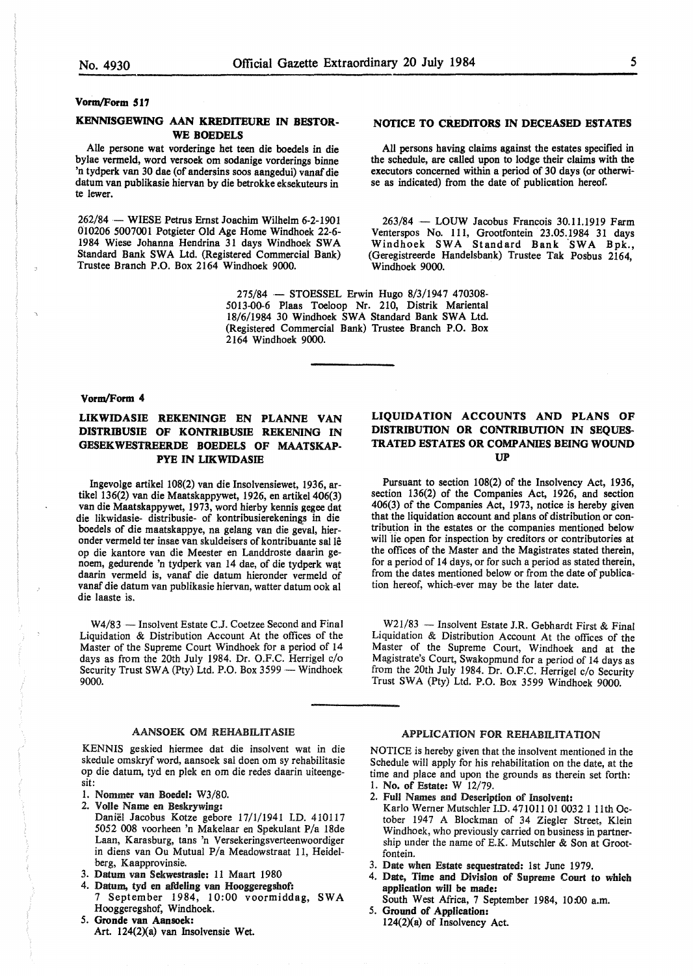#### **Vorm/Form 517**

#### **KENNISGEWING AAN KREDITEURE IN BESTOR-WE BOEDELS**

Aile persone wat vorderinge het teen die boedels in die bylae vermeld, word versoek om sodanige vorderings binne 'n tydperk van 30 dae (of andersins soos aangedui) vanaf die datum van publikasie hiervan by die betrokke eksekuteurs in te lewer.

262/84 - WIESE Petrus Ernst Joachim Wilhelm 6-2-1901 010206 5007001 Potgieter Old Age Home Windhoek 22-6- 1984 Wiese Johanna Hendrina 31 days Windhoek SW A Standard Bank SWA Ltd. (Registered Commercial Bank) Trustee Branch P.O. Box 2164 Windhoek 9000.

#### **NOTICE TO CREDITORS IN DECEASED ESTATES**

All persons having claims against the estates specified in the schedule, are called upon to lodge their claims with the executors concerned within a period of 30 days (or otherwise as indicated) from the date of publication hereof.

263/84 - LOUW Jacobus Francois 30.11.1919 Farm Venterspos No. 111, Grootfontein 23.05.1984 31 days Windhoek SWA Standard Bank SWA Bpk., (Geregistreerde Handelsbank) Trustee Tak Posbus 2164, Windhoek 9000.

275/84 - STOESSEL Erwin Hugo 8/3/1947 470308-5013-00-6 Plaas Toeloop Nr. 210, Distrik Mariental 18/6/1984 30 Windhoek SWA Standard Bank SWA Ltd. (Registered Commercial Bank) Trustee Branch P.O. Box 2164 Windhoek 9000.

#### **Vorm/Form 4**

#### **LIKWIDASIE REKENINGE EN PLANNE VAN DISTRIBUSIB OF KONTRIBUSIB REKENING** IN **GESEKWESTREERDE BOEDELS OF MAATSKAP-PYE IN LIKWIDASIE**

Ingevolge artikel 108(2) van die Insolvensiewet, 1936, artikel 136(2) van die Maatskappywet, 1926, en artikel 406(3) van die Maatskappywet, 1973, word hierby kennis gegee dat die likwidasie- distribusie- of kontribusierekenings in die boedels of die maatskappye, na gelang van die geval, hieronder vermeld ter insae van skuldeisers of kontribuante sal le op die kantore van die Meester en Landdroste daarin genoem, gedurende 'n tydperk van 14 dae, of die tydperk wat daarin vermeld is, vanaf die datum hieronder vermeld of vanaf die datum van publikasie hiervan, watter datum ook al die laaste is.

W4/83 - Insolvent Estate C.J. Coetzee Second and Final Liquidation & Distribution Account At the offices of the Master of the Supreme Court Windhoek for a period of 14 days as from the 20th July 1984. Dr. O.F.C. Herrigel c/o Security Trust SWA (Pty) Ltd. P.O. Box 3599 - Windhoek 9000.

#### AANSOEK OM REHABILITASIE

KENNIS geskied hiermee dat die insolvent wat in die skedule omskryf word, aansoek sal doen om sy rehabilitasie op die datum, tyd en plek en om die redes daarin uiteengesit:

- I. Nommer van Boedel: W3/80.
- 2. VoHe Name en Beskrywlng:
- Daniel Jacobus Kotze gebore 17/1/1941 I.D. 410117 5052 008 voorheen 'n Makelaar en Spekulant P/a 18de Laan, Karasburg, tans 'n Versekeringsverteenwoordiger in diens van Ou Mutual P/a Meadowstraat 11, Heidelberg, Kaapprovinsie.
- 3. Datum van Sekwestrasle: 11 Maart 1980
- 4. Datum, tyd en afdeling van Hooggeregshof:
- 7 September 1984, 10:00 voormiddag, SWA Hooggeregshof, Windhoek.
- 5. **Gronde van Aansoek:**  Art.  $124(2)(a)$  van Insolvensie Wet.

#### **LIQUIDATION ACCOUNTS AND PLANS OF DISTRIBUTION OR CONTRIBUTION IN SEQUES-TRATED ESTATES OR COMPANIES BEING WOUND UP**

Pursuant to section 108(2) of the Insolvency Act, 1936, section 136(2) of the Companies Act, 1926, and section 406(3) of the Companies Act, 1973, notice is hereby given that the liquidation account and plans of distribution or contribution in the estates or the companies mentioned below will lie open for inspection by creditors or contributories at the offices of the Master and the Magistrates stated therein, for a period of 14 days, or for such a period as stated therein, from the dates mentioned below or from the date of publication hereof, which-ever may be the later date.

 $W21/83$  - Insolvent Estate J.R. Gebhardt First & Final Liquidation & Distribution Account At the offices of the Master of the Supreme Court, Windhoek and at the Magistrate's Court, Swakopmund for a period of 14 days as from the 20th July 1984. Dr. O.F.C. Herrigel c/o Security Trust SWA (Pty) Ltd. P.O. Box 3599 Windhoek 9000.

#### APPLICATION FOR REHABILITATION

NOTICE is hereby given that the insolvent mentioned in the Schedule will apply for his rehabilitation on the date, at the time and place and upon the grounds as therein set forth: l. No. of Estate: W 12/79.

- 2. FuU Names and Description of Insolvent:
- Karlo Werner Mutschler I.D. 471011 01 0032 I 11th October 1947 A Blockman of 34 Ziegler Street, Klein Windhoek, who previously carried on business in partnership under the name of E.K. Mutschler & Son at Grootfontein.
- 3. Date when Estate sequestrated: 1st June 1979.
- 4. Date, Tlme and Division of Supreme Court **to which**  application will be made:
- South West Africa, 7 September 1984, 10:00 a.m. 5. Ground of Application:
- $124(2)(a)$  of Insolvency Act.